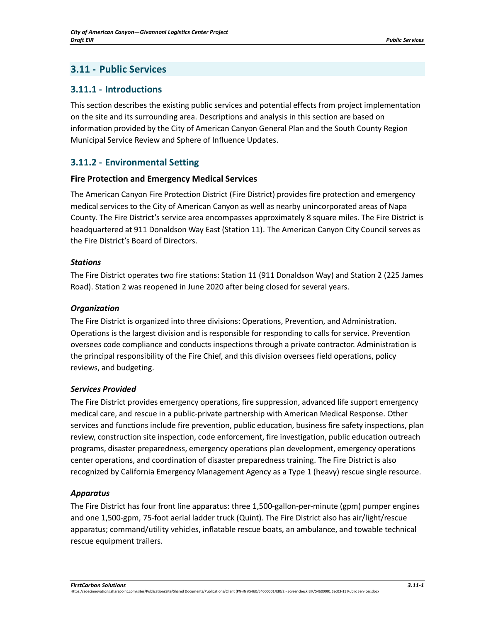# **3.11 - Public Services**

## **3.11.1 - Introductions**

This section describes the existing public services and potential effects from project implementation on the site and its surrounding area. Descriptions and analysis in this section are based on information provided by the City of American Canyon General Plan and the South County Region Municipal Service Review and Sphere of Influence Updates.

## **3.11.2 - Environmental Setting**

#### **Fire Protection and Emergency Medical Services**

The American Canyon Fire Protection District (Fire District) provides fire protection and emergency medical services to the City of American Canyon as well as nearby unincorporated areas of Napa County. The Fire District's service area encompasses approximately 8 square miles. The Fire District is headquartered at 911 Donaldson Way East (Station 11). The American Canyon City Council serves as the Fire District's Board of Directors.

#### *Stations*

The Fire District operates two fire stations: Station 11 (911 Donaldson Way) and Station 2 (225 James Road). Station 2 was reopened in June 2020 after being closed for several years.

#### *Organization*

The Fire District is organized into three divisions: Operations, Prevention, and Administration. Operations is the largest division and is responsible for responding to calls for service. Prevention oversees code compliance and conducts inspections through a private contractor. Administration is the principal responsibility of the Fire Chief, and this division oversees field operations, policy reviews, and budgeting.

#### *Services Provided*

The Fire District provides emergency operations, fire suppression, advanced life support emergency medical care, and rescue in a public-private partnership with American Medical Response. Other services and functions include fire prevention, public education, business fire safety inspections, plan review, construction site inspection, code enforcement, fire investigation, public education outreach programs, disaster preparedness, emergency operations plan development, emergency operations center operations, and coordination of disaster preparedness training. The Fire District is also recognized by California Emergency Management Agency as a Type 1 (heavy) rescue single resource.

#### *Apparatus*

The Fire District has four front line apparatus: three 1,500-gallon-per-minute (gpm) pumper engines and one 1,500-gpm, 75-foot aerial ladder truck (Quint). The Fire District also has air/light/rescue apparatus; command/utility vehicles, inflatable rescue boats, an ambulance, and towable technical rescue equipment trailers.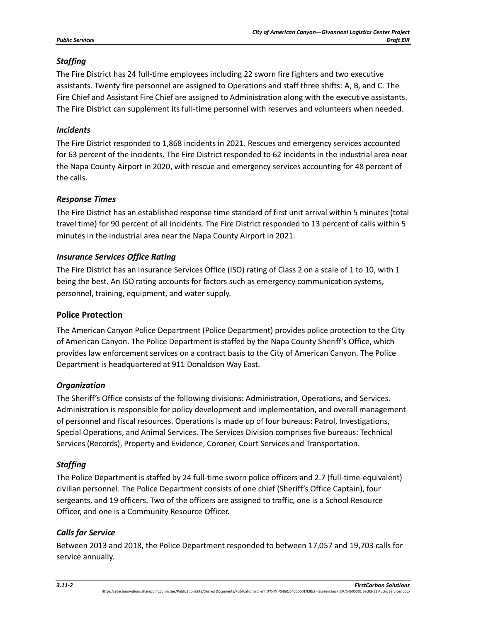## *Staffing*

The Fire District has 24 full-time employees including 22 sworn fire fighters and two executive assistants. Twenty fire personnel are assigned to Operations and staff three shifts: A, B, and C. The Fire Chief and Assistant Fire Chief are assigned to Administration along with the executive assistants. The Fire District can supplement its full-time personnel with reserves and volunteers when needed.

## *Incidents*

The Fire District responded to 1,868 incidents in 2021. Rescues and emergency services accounted for 63 percent of the incidents. The Fire District responded to 62 incidents in the industrial area near the Napa County Airport in 2020, with rescue and emergency services accounting for 48 percent of the calls.

#### *Response Times*

The Fire District has an established response time standard of first unit arrival within 5 minutes (total travel time) for 90 percent of all incidents. The Fire District responded to 13 percent of calls within 5 minutes in the industrial area near the Napa County Airport in 2021.

## *Insurance Services Office Rating*

The Fire District has an Insurance Services Office (ISO) rating of Class 2 on a scale of 1 to 10, with 1 being the best. An ISO rating accounts for factors such as emergency communication systems, personnel, training, equipment, and water supply.

### **Police Protection**

The American Canyon Police Department (Police Department) provides police protection to the City of American Canyon. The Police Department is staffed by the Napa County Sheriff's Office, which provides law enforcement services on a contract basis to the City of American Canyon. The Police Department is headquartered at 911 Donaldson Way East.

#### *Organization*

The Sheriff's Office consists of the following divisions: Administration, Operations, and Services. Administration is responsible for policy development and implementation, and overall management of personnel and fiscal resources. Operations is made up of four bureaus: Patrol, Investigations, Special Operations, and Animal Services. The Services Division comprises five bureaus: Technical Services (Records), Property and Evidence, Coroner, Court Services and Transportation.

## *Staffing*

The Police Department is staffed by 24 full-time sworn police officers and 2.7 (full-time-equivalent) civilian personnel. The Police Department consists of one chief (Sheriff's Office Captain), four sergeants, and 19 officers. Two of the officers are assigned to traffic, one is a School Resource Officer, and one is a Community Resource Officer.

#### *Calls for Service*

Between 2013 and 2018, the Police Department responded to between 17,057 and 19,703 calls for service annually.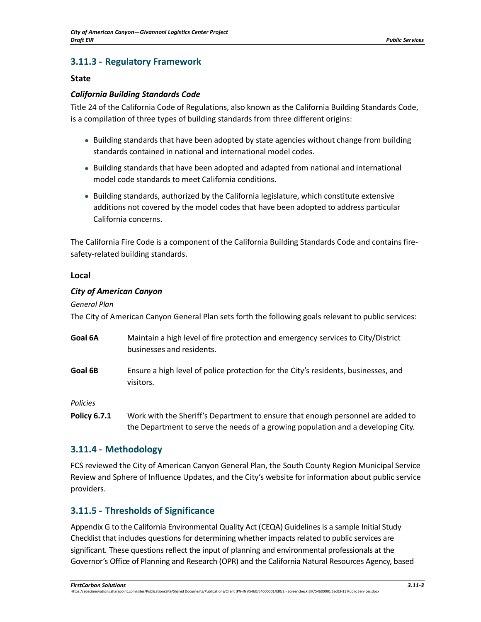## **3.11.3 - Regulatory Framework**

#### **State**

#### *California Building Standards Code*

Title 24 of the California Code of Regulations, also known as the California Building Standards Code, is a compilation of three types of building standards from three different origins:

- Building standards that have been adopted by state agencies without change from building standards contained in national and international model codes.
- Building standards that have been adopted and adapted from national and international model code standards to meet California conditions.
- Building standards, authorized by the California legislature, which constitute extensive additions not covered by the model codes that have been adopted to address particular California concerns.

The California Fire Code is a component of the California Building Standards Code and contains firesafety-related building standards.

#### **Local**

#### *City of American Canyon*

*General Plan*

The City of American Canyon General Plan sets forth the following goals relevant to public services:

- **Goal 6A** Maintain a high level of fire protection and emergency services to City/District businesses and residents.
- **Goal 6B** Ensure a high level of police protection for the City's residents, businesses, and visitors.

*Policies*

**Policy 6.7.1** Work with the Sheriff's Department to ensure that enough personnel are added to the Department to serve the needs of a growing population and a developing City.

## **3.11.4 - Methodology**

FCS reviewed the City of American Canyon General Plan, the South County Region Municipal Service Review and Sphere of Influence Updates, and the City's website for information about public service providers.

## **3.11.5 - Thresholds of Significance**

Appendix G to the California Environmental Quality Act (CEQA) Guidelines is a sample Initial Study Checklist that includes questions for determining whether impacts related to public services are significant. These questions reflect the input of planning and environmental professionals at the Governor's Office of Planning and Research (OPR) and the California Natural Resources Agency, based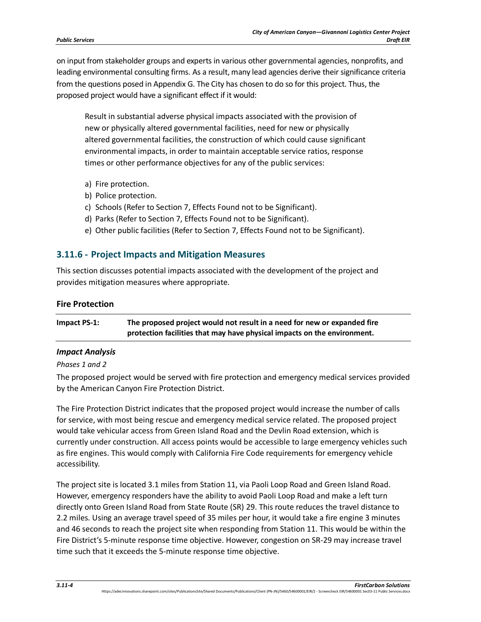on input from stakeholder groups and experts in various other governmental agencies, nonprofits, and leading environmental consulting firms. As a result, many lead agencies derive their significance criteria from the questions posed in Appendix G. The City has chosen to do so for this project. Thus, the proposed project would have a significant effect if it would:

Result in substantial adverse physical impacts associated with the provision of new or physically altered governmental facilities, need for new or physically altered governmental facilities, the construction of which could cause significant environmental impacts, in order to maintain acceptable service ratios, response times or other performance objectives for any of the public services:

- a) Fire protection.
- b) Police protection.
- c) Schools (Refer to Section 7, Effects Found not to be Significant).
- d) Parks (Refer to Section 7, Effects Found not to be Significant).
- e) Other public facilities (Refer to Section 7, Effects Found not to be Significant).

## **3.11.6 - Project Impacts and Mitigation Measures**

This section discusses potential impacts associated with the development of the project and provides mitigation measures where appropriate.

#### **Fire Protection**

| Impact PS-1: | The proposed project would not result in a need for new or expanded fire |
|--------------|--------------------------------------------------------------------------|
|              | protection facilities that may have physical impacts on the environment. |

#### *Impact Analysis*

#### *Phases 1 and 2*

The proposed project would be served with fire protection and emergency medical services provided by the American Canyon Fire Protection District.

The Fire Protection District indicates that the proposed project would increase the number of calls for service, with most being rescue and emergency medical service related. The proposed project would take vehicular access from Green Island Road and the Devlin Road extension, which is currently under construction. All access points would be accessible to large emergency vehicles such as fire engines. This would comply with California Fire Code requirements for emergency vehicle accessibility.

The project site is located 3.1 miles from Station 11, via Paoli Loop Road and Green Island Road. However, emergency responders have the ability to avoid Paoli Loop Road and make a left turn directly onto Green Island Road from State Route (SR) 29. This route reduces the travel distance to 2.2 miles. Using an average travel speed of 35 miles per hour, it would take a fire engine 3 minutes and 46 seconds to reach the project site when responding from Station 11. This would be within the Fire District's 5-minute response time objective. However, congestion on SR-29 may increase travel time such that it exceeds the 5-minute response time objective.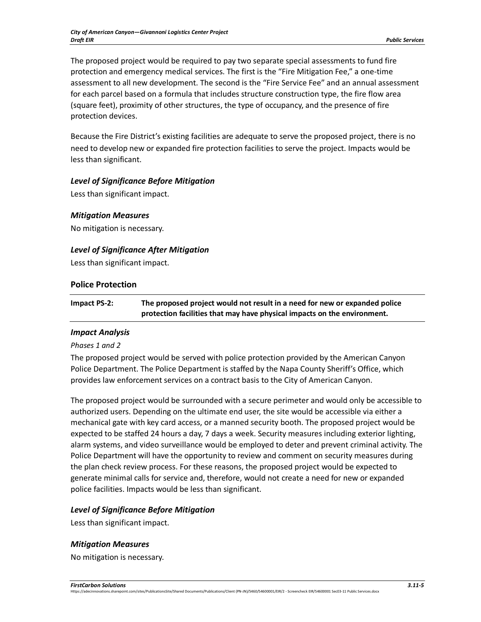The proposed project would be required to pay two separate special assessments to fund fire protection and emergency medical services. The first is the "Fire Mitigation Fee," a one-time assessment to all new development. The second is the "Fire Service Fee" and an annual assessment for each parcel based on a formula that includes structure construction type, the fire flow area (square feet), proximity of other structures, the type of occupancy, and the presence of fire protection devices.

Because the Fire District's existing facilities are adequate to serve the proposed project, there is no need to develop new or expanded fire protection facilities to serve the project. Impacts would be less than significant.

## *Level of Significance Before Mitigation*

Less than significant impact.

#### *Mitigation Measures*

No mitigation is necessary.

## *Level of Significance After Mitigation*

Less than significant impact.

#### **Police Protection**

**Impact PS-2: The proposed project would not result in a need for new or expanded police protection facilities that may have physical impacts on the environment.** 

## *Impact Analysis*

#### *Phases 1 and 2*

The proposed project would be served with police protection provided by the American Canyon Police Department. The Police Department is staffed by the Napa County Sheriff's Office, which provides law enforcement services on a contract basis to the City of American Canyon.

The proposed project would be surrounded with a secure perimeter and would only be accessible to authorized users. Depending on the ultimate end user, the site would be accessible via either a mechanical gate with key card access, or a manned security booth. The proposed project would be expected to be staffed 24 hours a day, 7 days a week. Security measures including exterior lighting, alarm systems, and video surveillance would be employed to deter and prevent criminal activity. The Police Department will have the opportunity to review and comment on security measures during the plan check review process. For these reasons, the proposed project would be expected to generate minimal calls for service and, therefore, would not create a need for new or expanded police facilities. Impacts would be less than significant.

## *Level of Significance Before Mitigation*

Less than significant impact.

## *Mitigation Measures*

No mitigation is necessary.